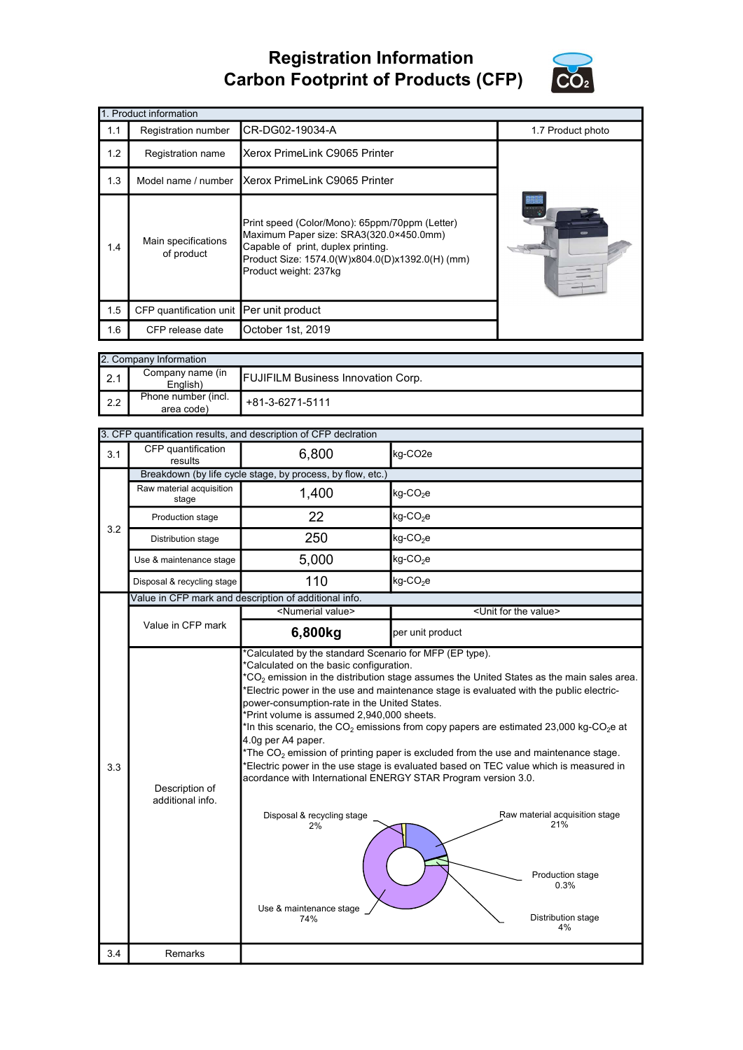## Registration Information Carbon Footprint of Products (CFP)



| 1. Product information |                                                                                                                                                                                                                                                  |                               |                   |  |  |  |  |
|------------------------|--------------------------------------------------------------------------------------------------------------------------------------------------------------------------------------------------------------------------------------------------|-------------------------------|-------------------|--|--|--|--|
| 1.1                    | Registration number                                                                                                                                                                                                                              | CR-DG02-19034-A               | 1.7 Product photo |  |  |  |  |
| 1.2                    | Registration name                                                                                                                                                                                                                                | Xerox PrimeLink C9065 Printer |                   |  |  |  |  |
| 1.3                    | Xerox PrimeLink C9065 Printer<br>Model name / number                                                                                                                                                                                             |                               |                   |  |  |  |  |
| 1.4                    | Print speed (Color/Mono): 65ppm/70ppm (Letter)<br>Maximum Paper size: SRA3(320.0×450.0mm)<br>Main specifications<br>Capable of print, duplex printing.<br>of product<br>Product Size: 1574.0(W)x804.0(D)x1392.0(H) (mm)<br>Product weight: 237kg |                               | <b>TEXT</b>       |  |  |  |  |
| 1.5                    | CFP quantification unit Per unit product                                                                                                                                                                                                         |                               |                   |  |  |  |  |
| 1.6                    | CFP release date                                                                                                                                                                                                                                 | October 1st, 2019             |                   |  |  |  |  |

|     | 2. Company Information            |                                           |  |  |  |  |
|-----|-----------------------------------|-------------------------------------------|--|--|--|--|
| 2.1 | Company name (in<br>English)      | <b>FUJIFILM Business Innovation Corp.</b> |  |  |  |  |
| 2.2 | Phone number (incl.<br>area code) | +81-3-6271-5111                           |  |  |  |  |

|     |                                    | 3. CFP quantification results, and description of CFP declration                                                                                                                                                                                                                                   |                                                                                                                                                                                                                                                                                                                                                                                                                                                                                                                                                                                                          |  |  |
|-----|------------------------------------|----------------------------------------------------------------------------------------------------------------------------------------------------------------------------------------------------------------------------------------------------------------------------------------------------|----------------------------------------------------------------------------------------------------------------------------------------------------------------------------------------------------------------------------------------------------------------------------------------------------------------------------------------------------------------------------------------------------------------------------------------------------------------------------------------------------------------------------------------------------------------------------------------------------------|--|--|
| 3.1 | CFP quantification<br>results      | 6,800                                                                                                                                                                                                                                                                                              | kg-CO <sub>2e</sub>                                                                                                                                                                                                                                                                                                                                                                                                                                                                                                                                                                                      |  |  |
| 3.2 |                                    | Breakdown (by life cycle stage, by process, by flow, etc.)                                                                                                                                                                                                                                         |                                                                                                                                                                                                                                                                                                                                                                                                                                                                                                                                                                                                          |  |  |
|     | Raw material acquisition<br>stage  | 1,400                                                                                                                                                                                                                                                                                              | $kg$ -CO <sub>2</sub> e                                                                                                                                                                                                                                                                                                                                                                                                                                                                                                                                                                                  |  |  |
|     | Production stage                   | 22                                                                                                                                                                                                                                                                                                 | $kg$ -CO <sub>2</sub> e                                                                                                                                                                                                                                                                                                                                                                                                                                                                                                                                                                                  |  |  |
|     | Distribution stage                 | 250                                                                                                                                                                                                                                                                                                | $kg$ -CO <sub>2</sub> e                                                                                                                                                                                                                                                                                                                                                                                                                                                                                                                                                                                  |  |  |
|     | Use & maintenance stage            | 5,000                                                                                                                                                                                                                                                                                              | $kg$ -CO <sub>2</sub> e                                                                                                                                                                                                                                                                                                                                                                                                                                                                                                                                                                                  |  |  |
|     | Disposal & recycling stage         | 110                                                                                                                                                                                                                                                                                                | $kg$ -CO <sub>2</sub> e                                                                                                                                                                                                                                                                                                                                                                                                                                                                                                                                                                                  |  |  |
|     |                                    | Value in CFP mark and description of additional info.                                                                                                                                                                                                                                              |                                                                                                                                                                                                                                                                                                                                                                                                                                                                                                                                                                                                          |  |  |
|     |                                    |                                                                                                                                                                                                                                                                                                    | <numerial value=""><br/><unit for="" the="" value=""></unit></numerial>                                                                                                                                                                                                                                                                                                                                                                                                                                                                                                                                  |  |  |
|     | Value in CFP mark                  | 6,800kg                                                                                                                                                                                                                                                                                            | per unit product                                                                                                                                                                                                                                                                                                                                                                                                                                                                                                                                                                                         |  |  |
| 3.3 | Description of<br>additional info. | *Calculated on the basic configuration.<br>power-consumption-rate in the United States.<br>*Print volume is assumed 2,940,000 sheets.<br>4.0g per A4 paper.<br>acordance with International ENERGY STAR Program version 3.0.<br>Disposal & recycling stage<br>2%<br>Use & maintenance stage<br>74% | $*$ CO <sub>2</sub> emission in the distribution stage assumes the United States as the main sales area.<br>*Electric power in the use and maintenance stage is evaluated with the public electric-<br>*In this scenario, the CO <sub>2</sub> emissions from copy papers are estimated 23,000 kg-CO <sub>2</sub> e at<br>*The $CO2$ emission of printing paper is excluded from the use and maintenance stage.<br>*Electric power in the use stage is evaluated based on TEC value which is measured in<br>Raw material acquisition stage<br>21%<br>Production stage<br>0.3%<br>Distribution stage<br>4% |  |  |
| 3.4 | Remarks                            |                                                                                                                                                                                                                                                                                                    |                                                                                                                                                                                                                                                                                                                                                                                                                                                                                                                                                                                                          |  |  |